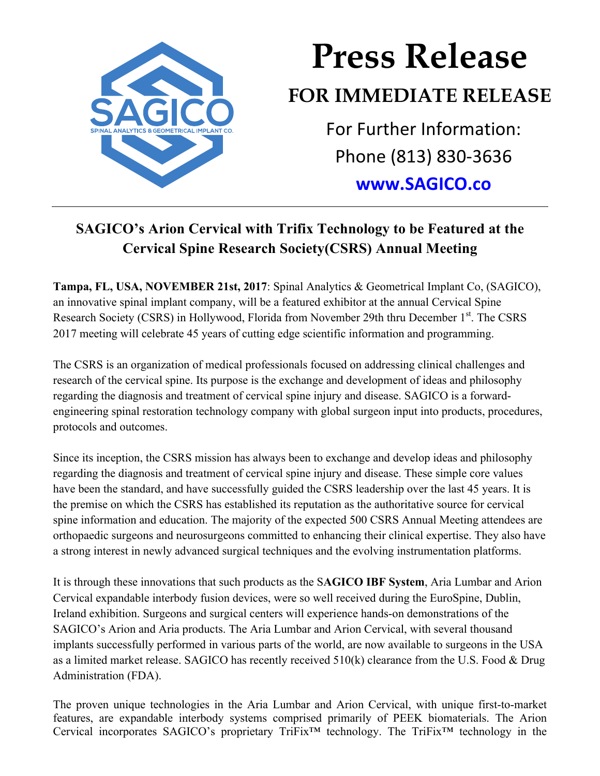

## **Press Release FOR IMMEDIATE RELEASE** For Further Information:

Phone (813) 830-3636

**www.SAGICO.co**

## **SAGICO's Arion Cervical with Trifix Technology to be Featured at the Cervical Spine Research Society(CSRS) Annual Meeting**

**Tampa, FL, USA, NOVEMBER 21st, 2017**: Spinal Analytics & Geometrical Implant Co, (SAGICO), an innovative spinal implant company, will be a featured exhibitor at the annual Cervical Spine Research Society (CSRS) in Hollywood, Florida from November 29th thru December 1<sup>st</sup>. The CSRS 2017 meeting will celebrate 45 years of cutting edge scientific information and programming.

The CSRS is an organization of medical professionals focused on addressing clinical challenges and research of the cervical spine. Its purpose is the exchange and development of ideas and philosophy regarding the diagnosis and treatment of cervical spine injury and disease. SAGICO is a forwardengineering spinal restoration technology company with global surgeon input into products, procedures, protocols and outcomes.

Since its inception, the CSRS mission has always been to exchange and develop ideas and philosophy regarding the diagnosis and treatment of cervical spine injury and disease. These simple core values have been the standard, and have successfully guided the CSRS leadership over the last 45 years. It is the premise on which the CSRS has established its reputation as the authoritative source for cervical spine information and education. The majority of the expected 500 CSRS Annual Meeting attendees are orthopaedic surgeons and neurosurgeons committed to enhancing their clinical expertise. They also have a strong interest in newly advanced surgical techniques and the evolving instrumentation platforms.

It is through these innovations that such products as the S**AGICO IBF System**, Aria Lumbar and Arion Cervical expandable interbody fusion devices, were so well received during the EuroSpine, Dublin, Ireland exhibition. Surgeons and surgical centers will experience hands-on demonstrations of the SAGICO's Arion and Aria products. The Aria Lumbar and Arion Cervical, with several thousand implants successfully performed in various parts of the world, are now available to surgeons in the USA as a limited market release. SAGICO has recently received 510(k) clearance from the U.S. Food & Drug Administration (FDA).

The proven unique technologies in the Aria Lumbar and Arion Cervical, with unique first-to-market features, are expandable interbody systems comprised primarily of PEEK biomaterials. The Arion Cervical incorporates SAGICO's proprietary TriFix™ technology. The TriFix™ technology in the